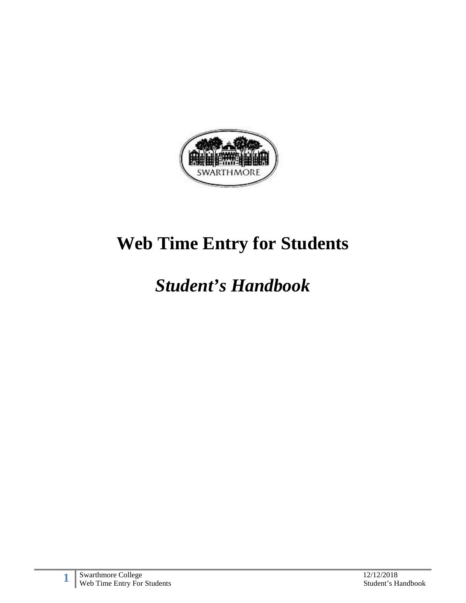

# **Web Time Entry for Students**

# *Student's Handbook*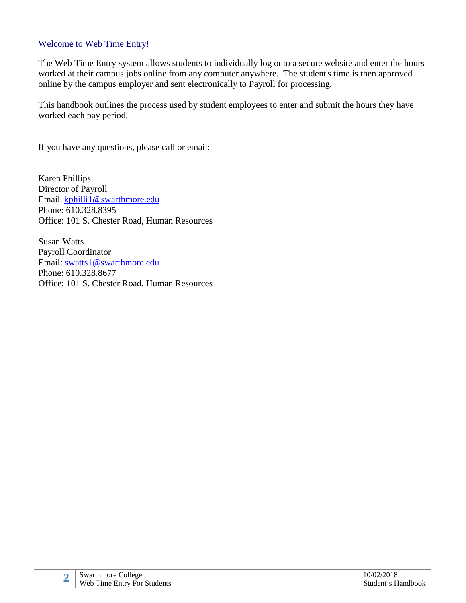#### Welcome to Web Time Entry!

The Web Time Entry system allows students to individually log onto a secure website and enter the hours worked at their campus jobs online from any computer anywhere. The student's time is then approved online by the campus employer and sent electronically to Payroll for processing.

This handbook outlines the process used by student employees to enter and submit the hours they have worked each pay period.

If you have any questions, please call or email:

Karen Phillips Director of Payroll Email: [kphilli1@swarthmore.edu](mailto:kphilli1@swarthmore.edu) Phone: 610.328.8395 Office: 101 S. Chester Road, Human Resources

Susan Watts Payroll Coordinator Email: [swatts1@swarthmore.edu](mailto:swatts1@swarthmore.edu) Phone: 610.328.8677 Office: 101 S. Chester Road, Human Resources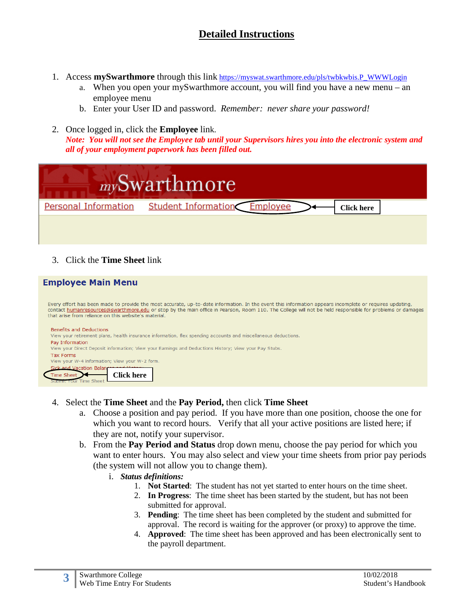### **Detailed Instructions**

- 1. Access **mySwarthmore** through this link [https://myswat.swarthmore.edu/pls/twbkwbis.P\\_WWWLogin](https://myswat.swarthmore.edu/pls/twbkwbis.P_WWWLogin)
	- a. When you open your mySwarthmore account, you will find you have a new menu an employee menu
	- b. Enter your User ID and password. *Remember: never share your password!*
- 2. Once logged in, click the **Employee** link. *Note: You will not see the Employee tab until your Supervisors hires you into the electronic system and all of your employment paperwork has been filled out.*

| <sub>my</sub> Swarthmore<br><b>Personal Information</b><br>Student Information<br><b>Employee</b><br><b>Click here</b>                                                                                                                                                                                                                                                                                  |
|---------------------------------------------------------------------------------------------------------------------------------------------------------------------------------------------------------------------------------------------------------------------------------------------------------------------------------------------------------------------------------------------------------|
| Click the <b>Time Sheet</b> link<br>3 <sub>1</sub>                                                                                                                                                                                                                                                                                                                                                      |
| <b>Employee Main Menu</b><br>Every effort has been made to provide the most accurate, up-to-date information. In the event this information appears incomplete or requires updating,<br>contact humanresources@swarthmore.edu or stop by the main office in Pearson, Room 110. The College will not be held responsible for problems or damages<br>that arise from reliance on this website's material. |
| <b>Benefits and Deductions</b><br>View your retirement plans, health insurance information, flex spending accounts and miscellaneous deductions.<br>Day Information                                                                                                                                                                                                                                     |

View your Direct Deposit information; View your Earnings and Deductions History; View your Pay Stubs. **Tax Forms** View your W-4 information; View your W-2 form.

d Vacation Balar Time Sheet **Click here** ime Sheet

- 4. Select the **Time Sheet** and the **Pay Period,** then click **Time Sheet**
	- a. Choose a position and pay period. If you have more than one position, choose the one for which you want to record hours. Verify that all your active positions are listed here; if they are not, notify your supervisor.
	- b. From the **Pay Period and Status** drop down menu, choose the pay period for which you want to enter hours. You may also select and view your time sheets from prior pay periods (the system will not allow you to change them).
		- i. *Status definitions:*
			- 1. **Not Started**: The student has not yet started to enter hours on the time sheet.
			- 2. **In Progress**: The time sheet has been started by the student, but has not been submitted for approval.
			- 3. **Pending**: The time sheet has been completed by the student and submitted for approval. The record is waiting for the approver (or proxy) to approve the time.
			- 4. **Approved**: The time sheet has been approved and has been electronically sent to the payroll department.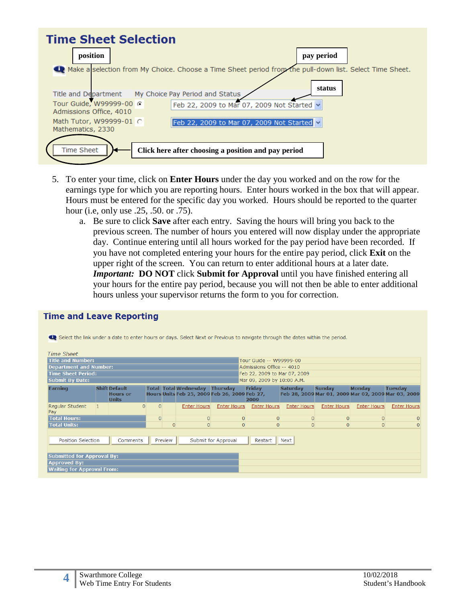

- 5. To enter your time, click on **Enter Hours** under the day you worked and on the row for the earnings type for which you are reporting hours. Enter hours worked in the box that will appear. Hours must be entered for the specific day you worked. Hours should be reported to the quarter hour (i.e, only use .25, .50. or .75).
	- a. Be sure to click **Save** after each entry. Saving the hours will bring you back to the previous screen. The number of hours you entered will now display under the appropriate day. Continue entering until all hours worked for the pay period have been recorded. If you have not completed entering your hours for the entire pay period, click **Exit** on the upper right of the screen. You can return to enter additional hours at a later date. *Important:* **DO NOT** click **Submit for Approval** until you have finished entering all your hours for the entire pay period, because you will not then be able to enter additional hours unless your supervisor returns the form to you for correction.

| <b>Time Sheet</b><br><b>Title and Number:</b> |           |                                                         |                |                |                                                                                        |                     | Tour Guide -- W99999-00      |                    |                                                                      |                    |                    |
|-----------------------------------------------|-----------|---------------------------------------------------------|----------------|----------------|----------------------------------------------------------------------------------------|---------------------|------------------------------|--------------------|----------------------------------------------------------------------|--------------------|--------------------|
| <b>Department and Number:</b>                 |           |                                                         |                |                |                                                                                        |                     | Admissions Office -- 4010    |                    |                                                                      |                    |                    |
| <b>Time Sheet Period:</b>                     |           |                                                         |                |                |                                                                                        |                     | Feb 22, 2009 to Mar 07, 2009 |                    |                                                                      |                    |                    |
| <b>Submit By Date:</b>                        |           |                                                         |                |                |                                                                                        |                     | Mar 09, 2009 by 10:00 A.M.   |                    |                                                                      |                    |                    |
| <b>Earning</b>                                |           | <b>Shift Default</b><br><b>Hours or</b><br><b>Units</b> |                |                | <b>Total Total Wednesday Thursday</b><br>Hours Units Feb 25, 2009 Feb 26, 2009 Feb 27, |                     | <b>Friday</b><br>2009        | <b>Saturday</b>    | <b>Sunday</b><br>Feb 28, 2009 Mar 01, 2009 Mar 02, 2009 Mar 03, 2009 | <b>Monday</b>      | <b>Tuesday</b>     |
| Regular Student<br>Pay                        | $\vert$ 1 | $\overline{0}$                                          | $\Omega$       |                | <b>Enter Hours</b>                                                                     | <b>Enter Hours</b>  | <b>Enter Hours</b>           | <b>Enter Hours</b> | <b>Enter Hours</b>                                                   | <b>Enter Hours</b> | <b>Enter Hours</b> |
| <b>Total Hours:</b>                           |           |                                                         | $\overline{0}$ |                | $\overline{0}$                                                                         | $\overline{0}$      | $\overline{0}$               | $\Omega$           | $\Omega$                                                             | $\overline{0}$     | $\Omega$           |
| <b>Total Units:</b>                           |           |                                                         |                | $\overline{0}$ | $\overline{0}$                                                                         | $\overline{0}$      | $\overline{0}$               | $\Omega$           | $\overline{0}$                                                       | $\Omega$           |                    |
| <b>Position Selection</b>                     |           | Comments                                                |                | Preview        |                                                                                        | Submit for Approval | Restart                      | Next               |                                                                      |                    |                    |

#### **Time and Leave Reporting**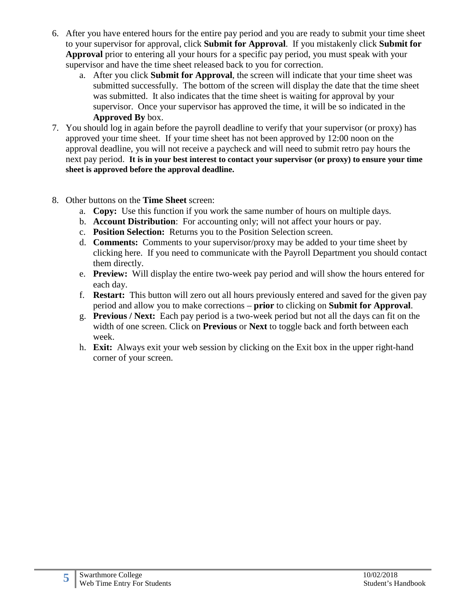- 6. After you have entered hours for the entire pay period and you are ready to submit your time sheet to your supervisor for approval, click **Submit for Approval**. If you mistakenly click **Submit for Approval** prior to entering all your hours for a specific pay period, you must speak with your supervisor and have the time sheet released back to you for correction.
	- a. After you click **Submit for Approval**, the screen will indicate that your time sheet was submitted successfully. The bottom of the screen will display the date that the time sheet was submitted. It also indicates that the time sheet is waiting for approval by your supervisor. Once your supervisor has approved the time, it will be so indicated in the **Approved By** box.
- 7. You should log in again before the payroll deadline to verify that your supervisor (or proxy) has approved your time sheet. If your time sheet has not been approved by 12:00 noon on the approval deadline, you will not receive a paycheck and will need to submit retro pay hours the next pay period. **It is in your best interest to contact your supervisor (or proxy) to ensure your time sheet is approved before the approval deadline.**
- 8. Other buttons on the **Time Sheet** screen:
	- a. **Copy:** Use this function if you work the same number of hours on multiple days.
	- b. **Account Distribution**: For accounting only; will not affect your hours or pay.
	- c. **Position Selection:** Returns you to the Position Selection screen.
	- d. **Comments:** Comments to your supervisor/proxy may be added to your time sheet by clicking here. If you need to communicate with the Payroll Department you should contact them directly.
	- e. **Preview:** Will display the entire two-week pay period and will show the hours entered for each day.
	- f. **Restart:** This button will zero out all hours previously entered and saved for the given pay period and allow you to make corrections – **prior** to clicking on **Submit for Approval**.
	- g. **Previous / Next:** Each pay period is a two-week period but not all the days can fit on the width of one screen. Click on **Previous** or **Next** to toggle back and forth between each week.
	- h. **Exit:** Always exit your web session by clicking on the Exit box in the upper right-hand corner of your screen.